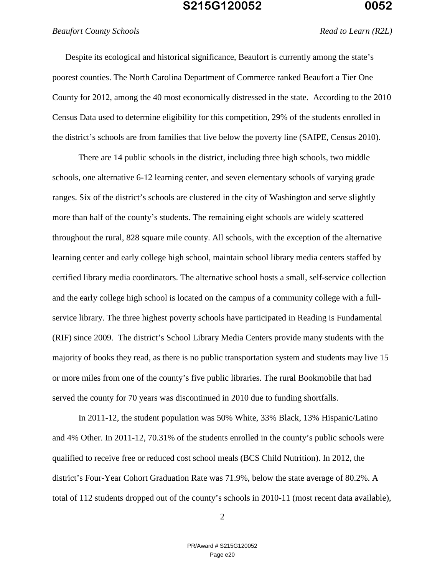### *Beaufort County Schools Read to Learn (R2L)*

Despite its ecological and historical significance, Beaufort is currently among the state's poorest counties. The North Carolina Department of Commerce ranked Beaufort a Tier One County for 2012, among the 40 most economically distressed in the state. According to the 2010 Census Data used to determine eligibility for this competition, 29% of the students enrolled in the district's schools are from families that live below the poverty line (SAIPE, Census 2010).

There are 14 public schools in the district, including three high schools, two middle schools, one alternative 6-12 learning center, and seven elementary schools of varying grade ranges. Six of the district's schools are clustered in the city of Washington and serve slightly more than half of the county's students. The remaining eight schools are widely scattered throughout the rural, 828 square mile county. All schools, with the exception of the alternative learning center and early college high school, maintain school library media centers staffed by certified library media coordinators. The alternative school hosts a small, self-service collection and the early college high school is located on the campus of a community college with a fullservice library. The three highest poverty schools have participated in Reading is Fundamental (RIF) since 2009. The district's School Library Media Centers provide many students with the majority of books they read, as there is no public transportation system and students may live 15 or more miles from one of the county's five public libraries. The rural Bookmobile that had served the county for 70 years was discontinued in 2010 due to funding shortfalls.

In 2011-12, the student population was 50% White, 33% Black, 13% Hispanic/Latino and 4% Other. In 2011-12, 70.31% of the students enrolled in the county's public schools were qualified to receive free or reduced cost school meals (BCS Child Nutrition). In 2012, the district's Four-Year Cohort Graduation Rate was 71.9%, below the state average of 80.2%. A total of 112 students dropped out of the county's schools in 2010-11 (most recent data available),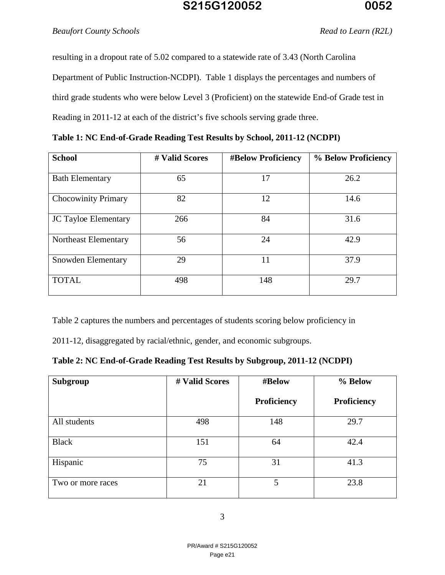### *Beaufort County Schools Read to Learn (R2L)*

resulting in a dropout rate of 5.02 compared to a statewide rate of 3.43 (North Carolina Department of Public Instruction-NCDPI). Table 1 displays the percentages and numbers of third grade students who were below Level 3 (Proficient) on the statewide End-of Grade test in Reading in 2011-12 at each of the district's five schools serving grade three.

| <b>School</b>          | # Valid Scores | <b>#Below Proficiency</b> | % Below Proficiency |
|------------------------|----------------|---------------------------|---------------------|
| <b>Bath Elementary</b> | რ.             |                           | 26.2                |

|  |  | Table 1: NC End-of-Grade Reading Test Results by School, 2011-12 (NCDPI) |  |  |  |  |
|--|--|--------------------------------------------------------------------------|--|--|--|--|

| <b>Bath Elementary</b>      | 65  | 17  | 26.2 |
|-----------------------------|-----|-----|------|
| <b>Chocowinity Primary</b>  | 82  | 12  | 14.6 |
| <b>JC Tayloe Elementary</b> | 266 | 84  | 31.6 |
| Northeast Elementary        | 56  | 24  | 42.9 |
| Snowden Elementary          | 29  | 11  | 37.9 |
| <b>TOTAL</b>                | 498 | 148 | 29.7 |

Table 2 captures the numbers and percentages of students scoring below proficiency in

2011-12, disaggregated by racial/ethnic, gender, and economic subgroups.

| Table 2: NC End-of-Grade Reading Test Results by Subgroup, 2011-12 (NCDPI) |  |  |  |
|----------------------------------------------------------------------------|--|--|--|
|----------------------------------------------------------------------------|--|--|--|

| Subgroup          | # Valid Scores | #Below      | % Below     |
|-------------------|----------------|-------------|-------------|
|                   |                | Proficiency | Proficiency |
| All students      | 498            | 148         | 29.7        |
| <b>Black</b>      | 151            | 64          | 42.4        |
| Hispanic          | 75             | 31          | 41.3        |
| Two or more races | 21             | 5           | 23.8        |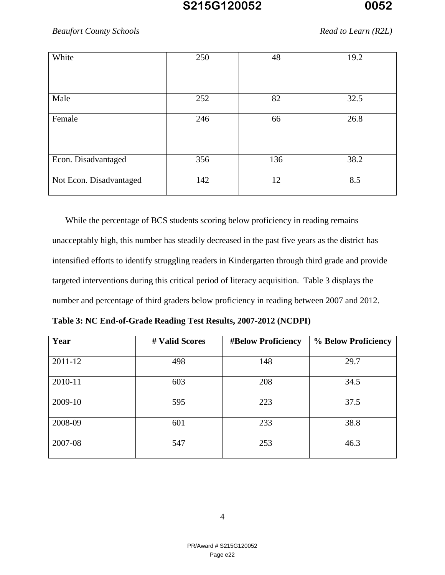### *Beaufort County Schools Read to Learn (R2L)*

| White                   | 250 | 48  | 19.2 |
|-------------------------|-----|-----|------|
|                         |     |     |      |
| Male                    | 252 | 82  | 32.5 |
| Female                  | 246 | 66  | 26.8 |
|                         |     |     |      |
| Econ. Disadvantaged     | 356 | 136 | 38.2 |
| Not Econ. Disadvantaged | 142 | 12  | 8.5  |

While the percentage of BCS students scoring below proficiency in reading remains unacceptably high, this number has steadily decreased in the past five years as the district has intensified efforts to identify struggling readers in Kindergarten through third grade and provide targeted interventions during this critical period of literacy acquisition. Table 3 displays the number and percentage of third graders below proficiency in reading between 2007 and 2012.

| Year    | # Valid Scores | <b>#Below Proficiency</b> | % Below Proficiency |
|---------|----------------|---------------------------|---------------------|
| 2011-12 | 498            | 148                       | 29.7                |
| 2010-11 | 603            | 208                       | 34.5                |
| 2009-10 | 595            | 223                       | 37.5                |
| 2008-09 | 601            | 233                       | 38.8                |
| 2007-08 | 547            | 253                       | 46.3                |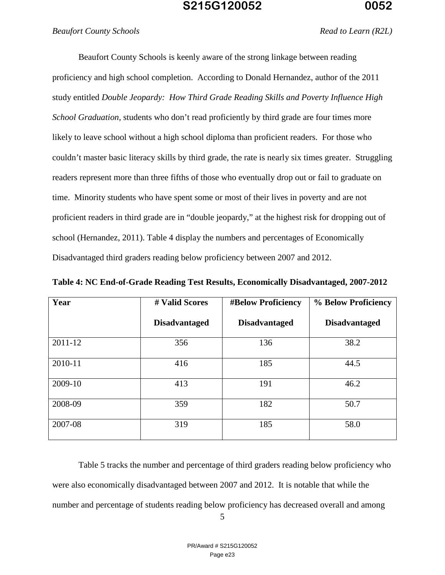#### *Beaufort County Schools Read to Learn (R2L)*

Beaufort County Schools is keenly aware of the strong linkage between reading proficiency and high school completion. According to Donald Hernandez, author of the 2011 study entitled *Double Jeopardy: How Third Grade Reading Skills and Poverty Influence High School Graduation,* students who don't read proficiently by third grade are four times more likely to leave school without a high school diploma than proficient readers. For those who couldn't master basic literacy skills by third grade, the rate is nearly six times greater. Struggling readers represent more than three fifths of those who eventually drop out or fail to graduate on time. Minority students who have spent some or most of their lives in poverty and are not proficient readers in third grade are in "double jeopardy," at the highest risk for dropping out of school (Hernandez, 2011). Table 4 display the numbers and percentages of Economically Disadvantaged third graders reading below proficiency between 2007 and 2012.

| Year    | # Valid Scores       | <b>#Below Proficiency</b> | % Below Proficiency  |
|---------|----------------------|---------------------------|----------------------|
|         | <b>Disadvantaged</b> | <b>Disadvantaged</b>      | <b>Disadvantaged</b> |
| 2011-12 | 356                  | 136                       | 38.2                 |
| 2010-11 | 416                  | 185                       | 44.5                 |
| 2009-10 | 413                  | 191                       | 46.2                 |
| 2008-09 | 359                  | 182                       | 50.7                 |
| 2007-08 | 319                  | 185                       | 58.0                 |

**Table 4: NC End-of-Grade Reading Test Results, Economically Disadvantaged, 2007-2012**

Table 5 tracks the number and percentage of third graders reading below proficiency who were also economically disadvantaged between 2007 and 2012. It is notable that while the number and percentage of students reading below proficiency has decreased overall and among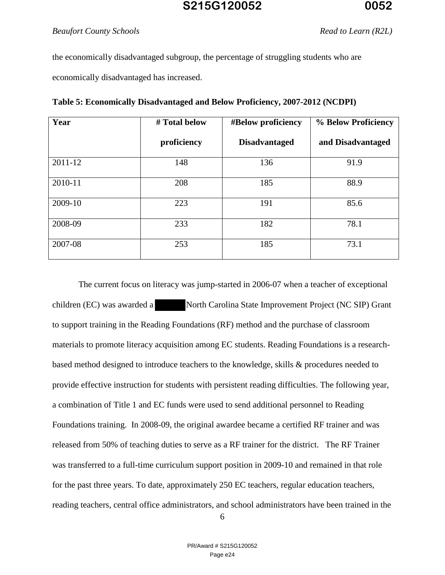the economically disadvantaged subgroup, the percentage of struggling students who are economically disadvantaged has increased.

| Year    | # Total below | #Below proficiency   | % Below Proficiency |
|---------|---------------|----------------------|---------------------|
|         | proficiency   | <b>Disadvantaged</b> | and Disadvantaged   |
| 2011-12 | 148           | 136                  | 91.9                |
| 2010-11 | 208           | 185                  | 88.9                |
| 2009-10 | 223           | 191                  | 85.6                |
| 2008-09 | 233           | 182                  | 78.1                |
| 2007-08 | 253           | 185                  | 73.1                |

|  | Table 5: Economically Disadvantaged and Below Proficiency, 2007-2012 (NCDPI) |  |
|--|------------------------------------------------------------------------------|--|
|  |                                                                              |  |

The current focus on literacy was jump-started in 2006-07 when a teacher of exceptional children (EC) was awarded a North Carolina State Improvement Project (NC SIP) Grant to support training in the Reading Foundations (RF) method and the purchase of classroom materials to promote literacy acquisition among EC students. Reading Foundations is a researchbased method designed to introduce teachers to the knowledge, skills & procedures needed to provide effective instruction for students with persistent reading difficulties. The following year, a combination of Title 1 and EC funds were used to send additional personnel to Reading Foundations training. In 2008-09, the original awardee became a certified RF trainer and was released from 50% of teaching duties to serve as a RF trainer for the district. The RF Trainer was transferred to a full-time curriculum support position in 2009-10 and remained in that role for the past three years. To date, approximately 250 EC teachers, regular education teachers, reading teachers, central office administrators, and school administrators have been trained in the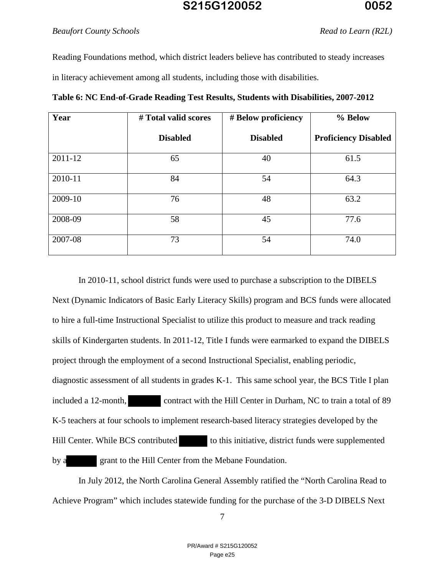#### *Beaufort County Schools Read to Learn (R2L)*

Reading Foundations method, which district leaders believe has contributed to steady increases in literacy achievement among all students, including those with disabilities.

| Year    | # Total valid scores | # Below proficiency | % Below                     |
|---------|----------------------|---------------------|-----------------------------|
|         | <b>Disabled</b>      | <b>Disabled</b>     | <b>Proficiency Disabled</b> |
| 2011-12 | 65                   | 40                  | 61.5                        |
| 2010-11 | 84                   | 54                  | 64.3                        |
| 2009-10 | 76                   | 48                  | 63.2                        |
| 2008-09 | 58                   | 45                  | 77.6                        |
| 2007-08 | 73                   | 54                  | 74.0                        |

**Table 6: NC End-of-Grade Reading Test Results, Students with Disabilities, 2007-2012** 

In 2010-11, school district funds were used to purchase a subscription to the DIBELS Next (Dynamic Indicators of Basic Early Literacy Skills) program and BCS funds were allocated to hire a full-time Instructional Specialist to utilize this product to measure and track reading skills of Kindergarten students. In 2011-12, Title I funds were earmarked to expand the DIBELS project through the employment of a second Instructional Specialist, enabling periodic, diagnostic assessment of all students in grades K-1. This same school year, the BCS Title I plan included a 12-month, contract with the Hill Center in Durham, NC to train a total of 89 K-5 teachers at four schools to implement research-based literacy strategies developed by the Hill Center. While BCS contributed to this initiative, district funds were supplemented by a grant to the Hill Center from the Mebane Foundation.

In July 2012, the North Carolina General Assembly ratified the "North Carolina Read to Achieve Program" which includes statewide funding for the purchase of the 3-D DIBELS Next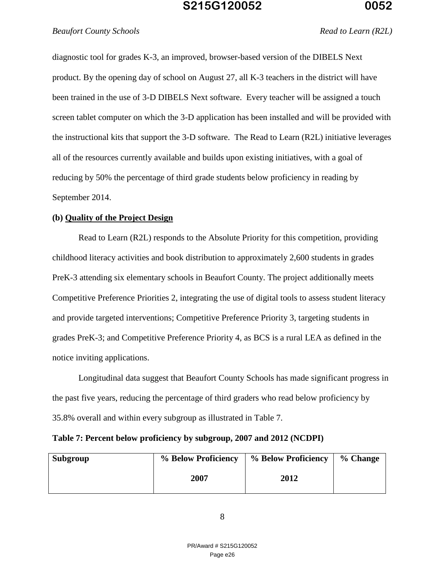### *Beaufort County Schools Read to Learn (R2L)*

diagnostic tool for grades K-3, an improved, browser-based version of the DIBELS Next product. By the opening day of school on August 27, all K-3 teachers in the district will have been trained in the use of 3-D DIBELS Next software. Every teacher will be assigned a touch screen tablet computer on which the 3-D application has been installed and will be provided with the instructional kits that support the 3-D software. The Read to Learn (R2L) initiative leverages all of the resources currently available and builds upon existing initiatives, with a goal of reducing by 50% the percentage of third grade students below proficiency in reading by September 2014.

#### **(b) Quality of the Project Design**

Read to Learn (R2L) responds to the Absolute Priority for this competition, providing childhood literacy activities and book distribution to approximately 2,600 students in grades PreK-3 attending six elementary schools in Beaufort County. The project additionally meets Competitive Preference Priorities 2, integrating the use of digital tools to assess student literacy and provide targeted interventions; Competitive Preference Priority 3, targeting students in grades PreK-3; and Competitive Preference Priority 4, as BCS is a rural LEA as defined in the notice inviting applications.

Longitudinal data suggest that Beaufort County Schools has made significant progress in the past five years, reducing the percentage of third graders who read below proficiency by 35.8% overall and within every subgroup as illustrated in Table 7.

| Table 7: Percent below proficiency by subgroup, 2007 and 2012 (NCDPI) |  |  |  |  |  |  |  |  |  |  |  |  |
|-----------------------------------------------------------------------|--|--|--|--|--|--|--|--|--|--|--|--|
|-----------------------------------------------------------------------|--|--|--|--|--|--|--|--|--|--|--|--|

| Subgroup | % Below Proficiency | % Below Proficiency | % Change |
|----------|---------------------|---------------------|----------|
|          | 2007                | 2012                |          |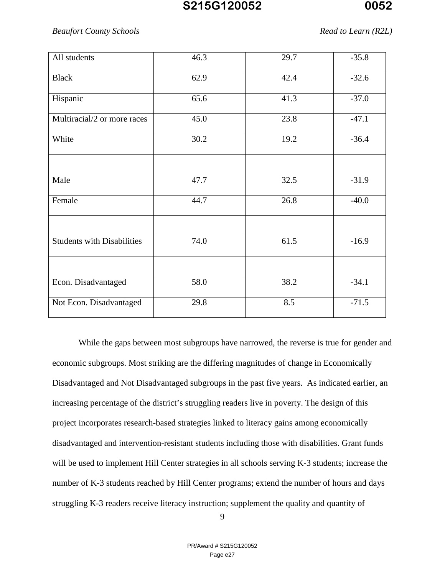#### *Beaufort County Schools Read to Learn (R2L)*

| All students                      | 46.3 | 29.7 | $-35.8$ |
|-----------------------------------|------|------|---------|
| <b>Black</b>                      | 62.9 | 42.4 | $-32.6$ |
| Hispanic                          | 65.6 | 41.3 | $-37.0$ |
| Multiracial/2 or more races       | 45.0 | 23.8 | $-47.1$ |
| White                             | 30.2 | 19.2 | $-36.4$ |
|                                   |      |      |         |
| Male                              | 47.7 | 32.5 | $-31.9$ |
| Female                            | 44.7 | 26.8 | $-40.0$ |
|                                   |      |      |         |
| <b>Students with Disabilities</b> | 74.0 | 61.5 | $-16.9$ |
|                                   |      |      |         |
| Econ. Disadvantaged               | 58.0 | 38.2 | $-34.1$ |
| Not Econ. Disadvantaged           | 29.8 | 8.5  | $-71.5$ |

While the gaps between most subgroups have narrowed, the reverse is true for gender and economic subgroups. Most striking are the differing magnitudes of change in Economically Disadvantaged and Not Disadvantaged subgroups in the past five years. As indicated earlier, an increasing percentage of the district's struggling readers live in poverty. The design of this project incorporates research-based strategies linked to literacy gains among economically disadvantaged and intervention-resistant students including those with disabilities. Grant funds will be used to implement Hill Center strategies in all schools serving K-3 students; increase the number of K-3 students reached by Hill Center programs; extend the number of hours and days struggling K-3 readers receive literacy instruction; supplement the quality and quantity of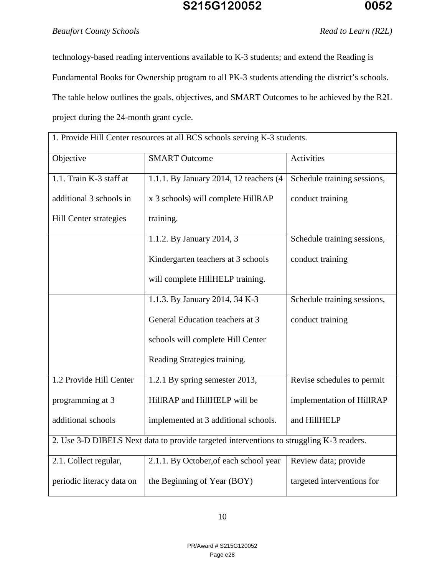### *Beaufort County Schools Read to Learn (R2L)*

technology-based reading interventions available to K-3 students; and extend the Reading is Fundamental Books for Ownership program to all PK-3 students attending the district's schools. The table below outlines the goals, objectives, and SMART Outcomes to be achieved by the R2L project during the 24-month grant cycle.

| 1. Provide Hill Center resources at all BCS schools serving K-3 students.                |                                        |                             |  |  |  |
|------------------------------------------------------------------------------------------|----------------------------------------|-----------------------------|--|--|--|
| Objective                                                                                | <b>SMART Outcome</b>                   | <b>Activities</b>           |  |  |  |
| 1.1. Train K-3 staff at                                                                  | 1.1.1. By January 2014, 12 teachers (4 | Schedule training sessions, |  |  |  |
| additional 3 schools in                                                                  | x 3 schools) will complete HillRAP     | conduct training            |  |  |  |
| Hill Center strategies                                                                   | training.                              |                             |  |  |  |
|                                                                                          | 1.1.2. By January 2014, 3              | Schedule training sessions, |  |  |  |
|                                                                                          | Kindergarten teachers at 3 schools     | conduct training            |  |  |  |
|                                                                                          | will complete HillHELP training.       |                             |  |  |  |
|                                                                                          | 1.1.3. By January 2014, 34 K-3         | Schedule training sessions, |  |  |  |
|                                                                                          | General Education teachers at 3        | conduct training            |  |  |  |
|                                                                                          | schools will complete Hill Center      |                             |  |  |  |
|                                                                                          | Reading Strategies training.           |                             |  |  |  |
| 1.2 Provide Hill Center                                                                  | 1.2.1 By spring semester 2013,         | Revise schedules to permit  |  |  |  |
| programming at 3                                                                         | HillRAP and HillHELP will be           | implementation of HillRAP   |  |  |  |
| additional schools                                                                       | implemented at 3 additional schools.   | and HillHELP                |  |  |  |
| 2. Use 3-D DIBELS Next data to provide targeted interventions to struggling K-3 readers. |                                        |                             |  |  |  |
| 2.1. Collect regular,                                                                    | 2.1.1. By October, of each school year | Review data; provide        |  |  |  |
| periodic literacy data on                                                                | the Beginning of Year (BOY)            | targeted interventions for  |  |  |  |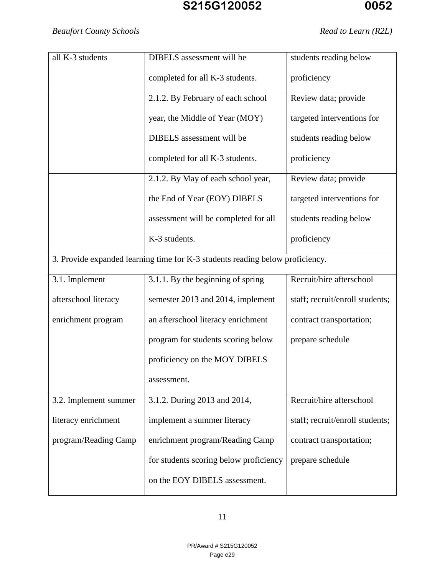| all K-3 students      | DIBELS assessment will be                                                     | students reading below          |
|-----------------------|-------------------------------------------------------------------------------|---------------------------------|
|                       | completed for all K-3 students.                                               | proficiency                     |
|                       | 2.1.2. By February of each school                                             | Review data; provide            |
|                       | year, the Middle of Year (MOY)                                                | targeted interventions for      |
|                       | DIBELS assessment will be                                                     | students reading below          |
|                       | completed for all K-3 students.                                               | proficiency                     |
|                       | 2.1.2. By May of each school year,                                            | Review data; provide            |
|                       | the End of Year (EOY) DIBELS                                                  | targeted interventions for      |
|                       | assessment will be completed for all                                          | students reading below          |
|                       | K-3 students.                                                                 | proficiency                     |
|                       | 3. Provide expanded learning time for K-3 students reading below proficiency. |                                 |
| 3.1. Implement        | 3.1.1. By the beginning of spring                                             | Recruit/hire afterschool        |
| afterschool literacy  | semester 2013 and 2014, implement                                             | staff; recruit/enroll students; |
| enrichment program    | an afterschool literacy enrichment                                            | contract transportation;        |
|                       | program for students scoring below                                            | prepare schedule                |
|                       | proficiency on the MOY DIBELS                                                 |                                 |
|                       | assessment.                                                                   |                                 |
| 3.2. Implement summer | 3.1.2. During 2013 and 2014,                                                  | Recruit/hire afterschool        |
| literacy enrichment   | implement a summer literacy                                                   | staff; recruit/enroll students; |
| program/Reading Camp  | enrichment program/Reading Camp                                               | contract transportation;        |
|                       | for students scoring below proficiency                                        | prepare schedule                |
|                       | on the EOY DIBELS assessment.                                                 |                                 |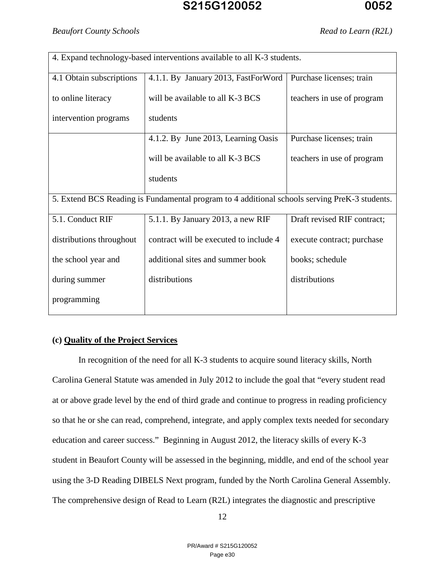| 4. Expand technology-based interventions available to all K-3 students. |                                                                                               |                             |  |  |  |  |
|-------------------------------------------------------------------------|-----------------------------------------------------------------------------------------------|-----------------------------|--|--|--|--|
| 4.1 Obtain subscriptions                                                | 4.1.1. By January 2013, FastForWord                                                           | Purchase licenses; train    |  |  |  |  |
| to online literacy                                                      | will be available to all K-3 BCS                                                              | teachers in use of program  |  |  |  |  |
| intervention programs                                                   | students                                                                                      |                             |  |  |  |  |
|                                                                         | 4.1.2. By June 2013, Learning Oasis                                                           | Purchase licenses; train    |  |  |  |  |
|                                                                         | will be available to all K-3 BCS                                                              | teachers in use of program  |  |  |  |  |
|                                                                         | students                                                                                      |                             |  |  |  |  |
|                                                                         | 5. Extend BCS Reading is Fundamental program to 4 additional schools serving PreK-3 students. |                             |  |  |  |  |
| 5.1. Conduct RIF                                                        | 5.1.1. By January 2013, a new RIF                                                             | Draft revised RIF contract; |  |  |  |  |
| distributions throughout                                                | contract will be executed to include 4                                                        | execute contract; purchase  |  |  |  |  |
| the school year and                                                     | additional sites and summer book                                                              | books; schedule             |  |  |  |  |
| during summer                                                           | distributions                                                                                 | distributions               |  |  |  |  |
| programming                                                             |                                                                                               |                             |  |  |  |  |

### **(c) Quality of the Project Services**

In recognition of the need for all K-3 students to acquire sound literacy skills, North Carolina General Statute was amended in July 2012 to include the goal that "every student read at or above grade level by the end of third grade and continue to progress in reading proficiency so that he or she can read, comprehend, integrate, and apply complex texts needed for secondary education and career success." Beginning in August 2012, the literacy skills of every K-3 student in Beaufort County will be assessed in the beginning, middle, and end of the school year using the 3-D Reading DIBELS Next program, funded by the North Carolina General Assembly. The comprehensive design of Read to Learn (R2L) integrates the diagnostic and prescriptive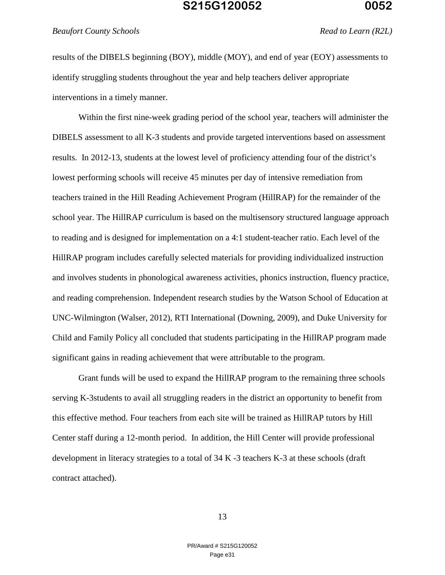*Beaufort County Schools Read to Learn (R2L)*

results of the DIBELS beginning (BOY), middle (MOY), and end of year (EOY) assessments to identify struggling students throughout the year and help teachers deliver appropriate interventions in a timely manner.

Within the first nine-week grading period of the school year, teachers will administer the DIBELS assessment to all K-3 students and provide targeted interventions based on assessment results. In 2012-13, students at the lowest level of proficiency attending four of the district's lowest performing schools will receive 45 minutes per day of intensive remediation from teachers trained in the Hill Reading Achievement Program (HillRAP) for the remainder of the school year. The HillRAP curriculum is based on the multisensory structured language approach to reading and is designed for implementation on a 4:1 student-teacher ratio. Each level of the HillRAP program includes carefully selected materials for providing individualized instruction and involves students in phonological awareness activities, phonics instruction, fluency practice, and reading comprehension. Independent research studies by the Watson School of Education at UNC-Wilmington (Walser, 2012), RTI International (Downing, 2009), and Duke University for Child and Family Policy all concluded that students participating in the HillRAP program made significant gains in reading achievement that were attributable to the program.

Grant funds will be used to expand the HillRAP program to the remaining three schools serving K-3students to avail all struggling readers in the district an opportunity to benefit from this effective method. Four teachers from each site will be trained as HillRAP tutors by Hill Center staff during a 12-month period. In addition, the Hill Center will provide professional development in literacy strategies to a total of 34 K -3 teachers K-3 at these schools (draft contract attached).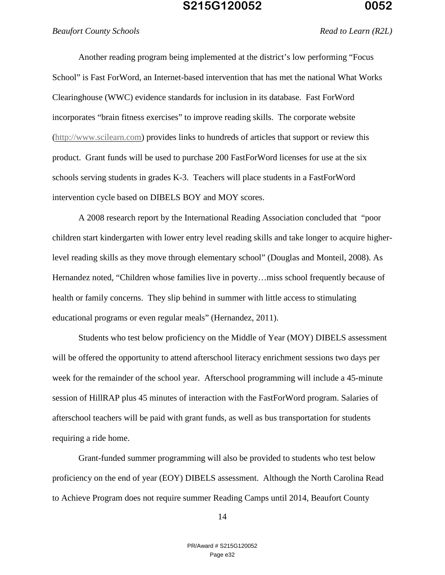#### *Beaufort County Schools Read to Learn (R2L)*

Another reading program being implemented at the district's low performing "Focus School" is Fast ForWord, an Internet-based intervention that has met the national What Works Clearinghouse (WWC) evidence standards for inclusion in its database. Fast ForWord incorporates "brain fitness exercises" to improve reading skills. The corporate website (http://www.scilearn.com) provides links to hundreds of articles that support or review this product. Grant funds will be used to purchase 200 FastForWord licenses for use at the six schools serving students in grades K-3. Teachers will place students in a FastForWord intervention cycle based on DIBELS BOY and MOY scores.

A 2008 research report by the International Reading Association concluded that "poor children start kindergarten with lower entry level reading skills and take longer to acquire higherlevel reading skills as they move through elementary school" (Douglas and Monteil, 2008). As Hernandez noted, "Children whose families live in poverty…miss school frequently because of health or family concerns. They slip behind in summer with little access to stimulating educational programs or even regular meals" (Hernandez, 2011).

Students who test below proficiency on the Middle of Year (MOY) DIBELS assessment will be offered the opportunity to attend afterschool literacy enrichment sessions two days per week for the remainder of the school year. Afterschool programming will include a 45-minute session of HillRAP plus 45 minutes of interaction with the FastForWord program. Salaries of afterschool teachers will be paid with grant funds, as well as bus transportation for students requiring a ride home.

Grant-funded summer programming will also be provided to students who test below proficiency on the end of year (EOY) DIBELS assessment. Although the North Carolina Read to Achieve Program does not require summer Reading Camps until 2014, Beaufort County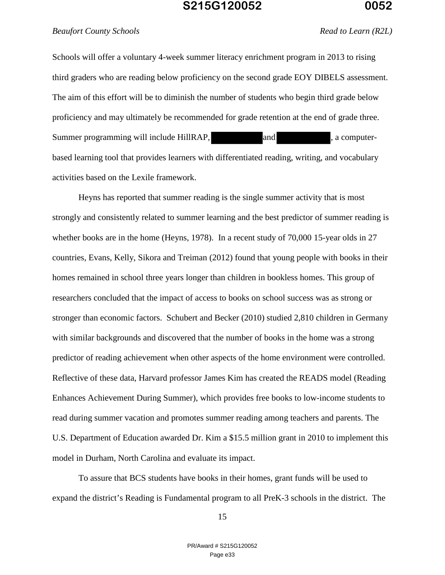### *Beaufort County Schools Read to Learn (R2L)*

Schools will offer a voluntary 4-week summer literacy enrichment program in 2013 to rising third graders who are reading below proficiency on the second grade EOY DIBELS assessment. The aim of this effort will be to diminish the number of students who begin third grade below proficiency and may ultimately be recommended for grade retention at the end of grade three. Summer programming will include HillRAP, and and , a computerbased learning tool that provides learners with differentiated reading, writing, and vocabulary activities based on the Lexile framework.

Heyns has reported that summer reading is the single summer activity that is most strongly and consistently related to summer learning and the best predictor of summer reading is whether books are in the home (Heyns, 1978). In a recent study of 70,000 15-year olds in 27 countries, Evans, Kelly, Sikora and Treiman (2012) found that young people with books in their homes remained in school three years longer than children in bookless homes. This group of researchers concluded that the impact of access to books on school success was as strong or stronger than economic factors. Schubert and Becker (2010) studied 2,810 children in Germany with similar backgrounds and discovered that the number of books in the home was a strong predictor of reading achievement when other aspects of the home environment were controlled. Reflective of these data, Harvard professor James Kim has created the READS model (Reading Enhances Achievement During Summer), which provides free books to low-income students to read during summer vacation and promotes summer reading among teachers and parents. The U.S. Department of Education awarded Dr. Kim a \$15.5 million grant in 2010 to implement this model in Durham, North Carolina and evaluate its impact.

To assure that BCS students have books in their homes, grant funds will be used to expand the district's Reading is Fundamental program to all PreK-3 schools in the district. The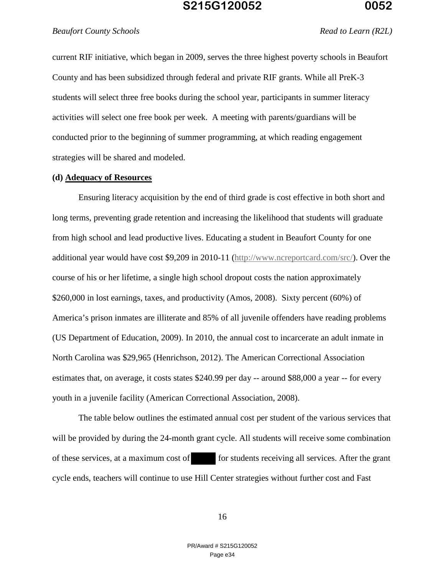#### *Beaufort County Schools Read to Learn (R2L)*

current RIF initiative, which began in 2009, serves the three highest poverty schools in Beaufort County and has been subsidized through federal and private RIF grants. While all PreK-3 students will select three free books during the school year, participants in summer literacy activities will select one free book per week. A meeting with parents/guardians will be conducted prior to the beginning of summer programming, at which reading engagement strategies will be shared and modeled.

#### **(d) Adequacy of Resources**

Ensuring literacy acquisition by the end of third grade is cost effective in both short and long terms, preventing grade retention and increasing the likelihood that students will graduate from high school and lead productive lives. Educating a student in Beaufort County for one additional year would have cost \$9,209 in 2010-11 (http://www.ncreportcard.com/src/). Over the course of his or her lifetime, a single high school dropout costs the nation approximately \$260,000 in lost earnings, taxes, and productivity (Amos, 2008). Sixty percent (60%) of America's prison inmates are illiterate and 85% of all juvenile offenders have reading problems (US Department of Education, 2009). In 2010, the annual cost to incarcerate an adult inmate in North Carolina was \$29,965 (Henrichson, 2012). The American Correctional Association estimates that, on average, it costs states \$240.99 per day -- around \$88,000 a year -- for every youth in a juvenile facility (American Correctional Association, 2008).

The table below outlines the estimated annual cost per student of the various services that will be provided by during the 24-month grant cycle. All students will receive some combination of these services, at a maximum cost of for students receiving all services. After the grant cycle ends, teachers will continue to use Hill Center strategies without further cost and Fast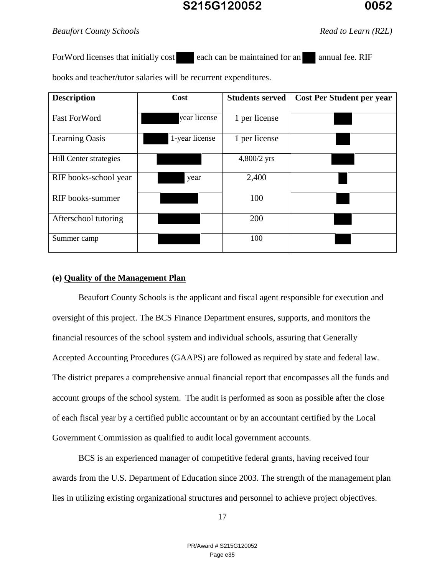### *Beaufort County Schools Read to Learn (R2L)*

ForWord licenses that initially cost each can be maintained for an annual fee. RIF

books and teacher/tutor salaries will be recurrent expenditures.

| <b>Description</b>     | Cost           | <b>Students served</b> | <b>Cost Per Student per year</b> |
|------------------------|----------------|------------------------|----------------------------------|
| <b>Fast ForWord</b>    | year license   | 1 per license          |                                  |
| Learning Oasis         | 1-year license | 1 per license          |                                  |
| Hill Center strategies |                | 4,800/2 yrs            |                                  |
| RIF books-school year  | year           | 2,400                  |                                  |
| RIF books-summer       |                | 100                    |                                  |
| Afterschool tutoring   |                | 200                    |                                  |
| Summer camp            |                | 100                    |                                  |

### **(e) Quality of the Management Plan**

 Beaufort County Schools is the applicant and fiscal agent responsible for execution and oversight of this project. The BCS Finance Department ensures, supports, and monitors the financial resources of the school system and individual schools, assuring that Generally Accepted Accounting Procedures (GAAPS) are followed as required by state and federal law. The district prepares a comprehensive annual financial report that encompasses all the funds and account groups of the school system. The audit is performed as soon as possible after the close of each fiscal year by a certified public accountant or by an accountant certified by the Local Government Commission as qualified to audit local government accounts.

BCS is an experienced manager of competitive federal grants, having received four awards from the U.S. Department of Education since 2003. The strength of the management plan lies in utilizing existing organizational structures and personnel to achieve project objectives.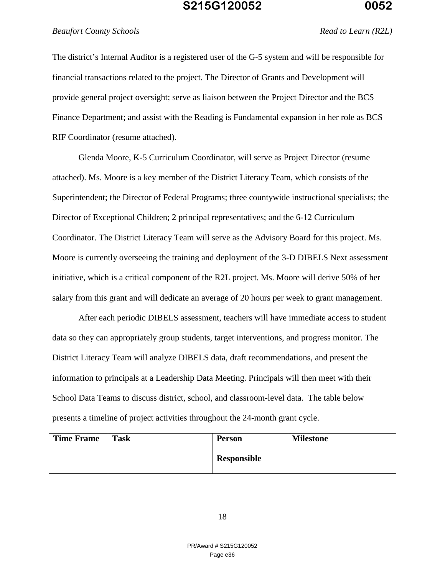#### *Beaufort County Schools Read to Learn (R2L)*

The district's Internal Auditor is a registered user of the G-5 system and will be responsible for financial transactions related to the project. The Director of Grants and Development will provide general project oversight; serve as liaison between the Project Director and the BCS Finance Department; and assist with the Reading is Fundamental expansion in her role as BCS RIF Coordinator (resume attached).

Glenda Moore, K-5 Curriculum Coordinator, will serve as Project Director (resume attached). Ms. Moore is a key member of the District Literacy Team, which consists of the Superintendent; the Director of Federal Programs; three countywide instructional specialists; the Director of Exceptional Children; 2 principal representatives; and the 6-12 Curriculum Coordinator. The District Literacy Team will serve as the Advisory Board for this project. Ms. Moore is currently overseeing the training and deployment of the 3-D DIBELS Next assessment initiative, which is a critical component of the R2L project. Ms. Moore will derive 50% of her salary from this grant and will dedicate an average of 20 hours per week to grant management.

After each periodic DIBELS assessment, teachers will have immediate access to student data so they can appropriately group students, target interventions, and progress monitor. The District Literacy Team will analyze DIBELS data, draft recommendations, and present the information to principals at a Leadership Data Meeting. Principals will then meet with their School Data Teams to discuss district, school, and classroom-level data. The table below presents a timeline of project activities throughout the 24-month grant cycle.

| <b>Time Frame</b> | <b>Task</b> | <b>Person</b> | <b>Milestone</b> |
|-------------------|-------------|---------------|------------------|
|                   |             | Responsible   |                  |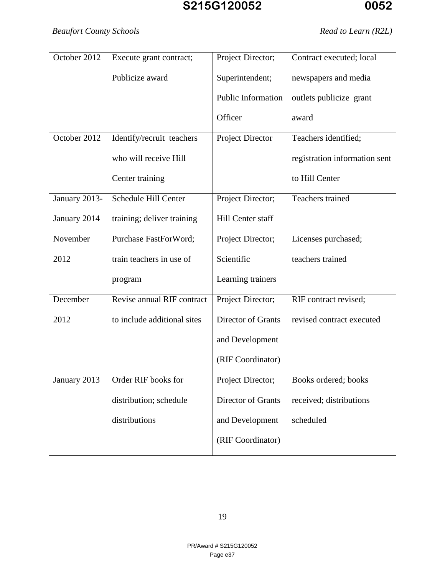## *Beaufort County Schools Read to Learn (R2L)*

| October 2012  | Execute grant contract;     | Project Director;       | Contract executed; local      |
|---------------|-----------------------------|-------------------------|-------------------------------|
|               | Publicize award             | Superintendent;         | newspapers and media          |
|               |                             | Public Information      | outlets publicize grant       |
|               |                             | Officer                 | award                         |
| October 2012  | Identify/recruit teachers   | <b>Project Director</b> | Teachers identified;          |
|               | who will receive Hill       |                         | registration information sent |
|               | Center training             |                         | to Hill Center                |
| January 2013- | Schedule Hill Center        | Project Director;       | Teachers trained              |
| January 2014  | training; deliver training  | Hill Center staff       |                               |
| November      | Purchase FastForWord;       | Project Director;       | Licenses purchased;           |
| 2012          | train teachers in use of    | Scientific              | teachers trained              |
|               | program                     | Learning trainers       |                               |
| December      | Revise annual RIF contract  | Project Director;       | RIF contract revised;         |
| 2012          | to include additional sites | Director of Grants      | revised contract executed     |
|               |                             | and Development         |                               |
|               |                             | (RIF Coordinator)       |                               |
| January 2013  | Order RIF books for         | Project Director;       | Books ordered; books          |
|               | distribution; schedule      | Director of Grants      | received; distributions       |
|               | distributions               | and Development         | scheduled                     |
|               |                             | (RIF Coordinator)       |                               |
|               |                             |                         |                               |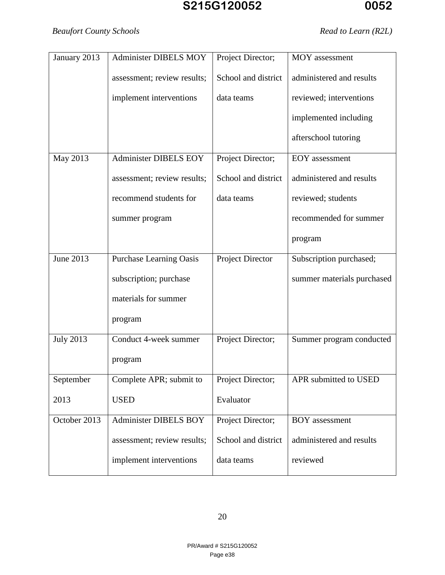| January 2013     | Administer DIBELS MOY          | Project Director;       | MOY assessment             |
|------------------|--------------------------------|-------------------------|----------------------------|
|                  | assessment; review results;    | School and district     | administered and results   |
|                  | implement interventions        | data teams              | reviewed; interventions    |
|                  |                                |                         | implemented including      |
|                  |                                |                         | afterschool tutoring       |
| May 2013         | Administer DIBELS EOY          | Project Director;       | <b>EOY</b> assessment      |
|                  | assessment; review results;    | School and district     | administered and results   |
|                  | recommend students for         | data teams              | reviewed; students         |
|                  | summer program                 |                         | recommended for summer     |
|                  |                                |                         | program                    |
| June 2013        | <b>Purchase Learning Oasis</b> | <b>Project Director</b> | Subscription purchased;    |
|                  | subscription; purchase         |                         | summer materials purchased |
|                  | materials for summer           |                         |                            |
|                  | program                        |                         |                            |
| <b>July 2013</b> | Conduct 4-week summer          | Project Director;       | Summer program conducted   |
|                  | program                        |                         |                            |
| September        | Complete APR; submit to        | Project Director;       | APR submitted to USED      |
| 2013             | <b>USED</b>                    | Evaluator               |                            |
| October 2013     | <b>Administer DIBELS BOY</b>   | Project Director;       | <b>BOY</b> assessment      |
|                  | assessment; review results;    | School and district     | administered and results   |
|                  | implement interventions        | data teams              | reviewed                   |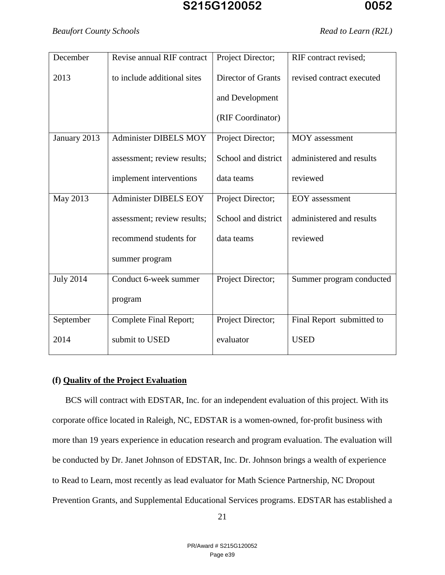### *Beaufort County Schools Read to Learn (R2L)*

| December         | Revise annual RIF contract   | Project Director;   | RIF contract revised;     |
|------------------|------------------------------|---------------------|---------------------------|
| 2013             | to include additional sites  | Director of Grants  | revised contract executed |
|                  |                              | and Development     |                           |
|                  |                              | (RIF Coordinator)   |                           |
| January 2013     | <b>Administer DIBELS MOY</b> | Project Director;   | MOY assessment            |
|                  | assessment; review results;  | School and district | administered and results  |
|                  | implement interventions      | data teams          | reviewed                  |
| May 2013         | Administer DIBELS EOY        | Project Director;   | <b>EOY</b> assessment     |
|                  | assessment; review results;  | School and district | administered and results  |
|                  | recommend students for       | data teams          | reviewed                  |
|                  | summer program               |                     |                           |
| <b>July 2014</b> | Conduct 6-week summer        | Project Director;   | Summer program conducted  |
|                  | program                      |                     |                           |
| September        | Complete Final Report;       | Project Director;   | Final Report submitted to |
| 2014             | submit to USED               | evaluator           | <b>USED</b>               |

### **(f) Quality of the Project Evaluation**

BCS will contract with EDSTAR, Inc. for an independent evaluation of this project. With its corporate office located in Raleigh, NC, EDSTAR is a women-owned, for-profit business with more than 19 years experience in education research and program evaluation. The evaluation will be conducted by Dr. Janet Johnson of EDSTAR, Inc. Dr. Johnson brings a wealth of experience to Read to Learn, most recently as lead evaluator for Math Science Partnership, NC Dropout Prevention Grants, and Supplemental Educational Services programs. EDSTAR has established a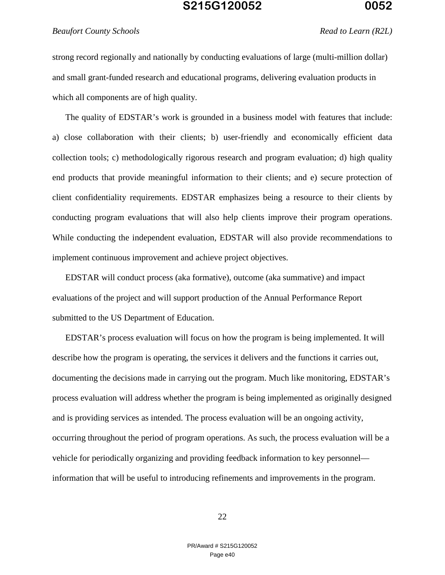#### *Beaufort County Schools Read to Learn (R2L)*

strong record regionally and nationally by conducting evaluations of large (multi-million dollar) and small grant-funded research and educational programs, delivering evaluation products in which all components are of high quality.

The quality of EDSTAR's work is grounded in a business model with features that include: a) close collaboration with their clients; b) user-friendly and economically efficient data collection tools; c) methodologically rigorous research and program evaluation; d) high quality end products that provide meaningful information to their clients; and e) secure protection of client confidentiality requirements. EDSTAR emphasizes being a resource to their clients by conducting program evaluations that will also help clients improve their program operations. While conducting the independent evaluation, EDSTAR will also provide recommendations to implement continuous improvement and achieve project objectives.

EDSTAR will conduct process (aka formative), outcome (aka summative) and impact evaluations of the project and will support production of the Annual Performance Report submitted to the US Department of Education.

EDSTAR's process evaluation will focus on how the program is being implemented. It will describe how the program is operating, the services it delivers and the functions it carries out, documenting the decisions made in carrying out the program. Much like monitoring, EDSTAR's process evaluation will address whether the program is being implemented as originally designed and is providing services as intended. The process evaluation will be an ongoing activity, occurring throughout the period of program operations. As such, the process evaluation will be a vehicle for periodically organizing and providing feedback information to key personnel information that will be useful to introducing refinements and improvements in the program.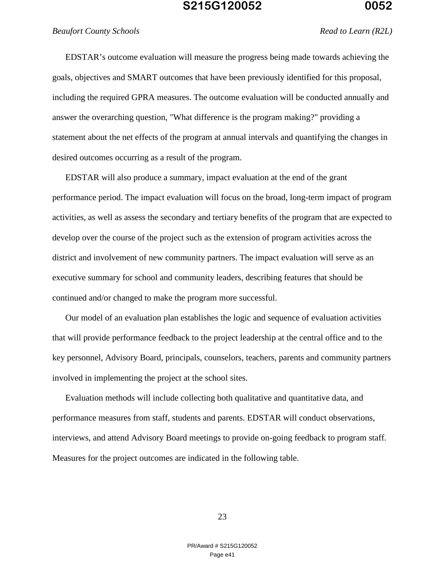EDSTAR's outcome evaluation will measure the progress being made towards achieving the goals, objectives and SMART outcomes that have been previously identified for this proposal, including the required GPRA measures. The outcome evaluation will be conducted annually and answer the overarching question, "What difference is the program making?" providing a statement about the net effects of the program at annual intervals and quantifying the changes in desired outcomes occurring as a result of the program.

EDSTAR will also produce a summary, impact evaluation at the end of the grant performance period. The impact evaluation will focus on the broad, long-term impact of program activities, as well as assess the secondary and tertiary benefits of the program that are expected to develop over the course of the project such as the extension of program activities across the district and involvement of new community partners. The impact evaluation will serve as an executive summary for school and community leaders, describing features that should be continued and/or changed to make the program more successful.

Our model of an evaluation plan establishes the logic and sequence of evaluation activities that will provide performance feedback to the project leadership at the central office and to the key personnel, Advisory Board, principals, counselors, teachers, parents and community partners involved in implementing the project at the school sites.

Evaluation methods will include collecting both qualitative and quantitative data, and performance measures from staff, students and parents. EDSTAR will conduct observations, interviews, and attend Advisory Board meetings to provide on-going feedback to program staff. Measures for the project outcomes are indicated in the following table.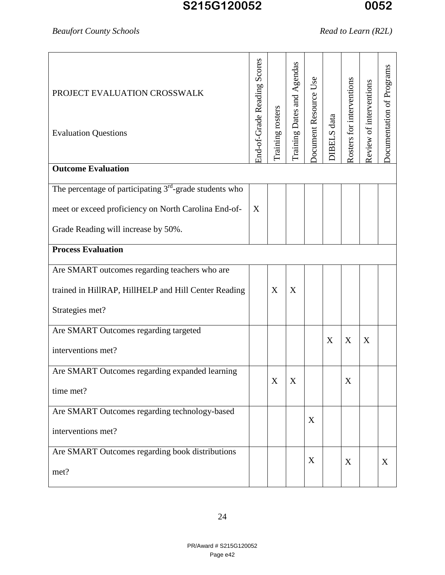# *Beaufort County Schools Read to Learn (R2L)*

| PROJECT EVALUATION CROSSWALK<br><b>Evaluation Questions</b> | Scores<br>End-of-Grade Reading | Training rosters | Training Dates and Agendas | Occument Resource Use | DIBELS data | Rosters for interventions | Review of interventions | Documentation of Programs |
|-------------------------------------------------------------|--------------------------------|------------------|----------------------------|-----------------------|-------------|---------------------------|-------------------------|---------------------------|
| <b>Outcome Evaluation</b>                                   |                                |                  |                            |                       |             |                           |                         |                           |
| The percentage of participating $3rd$ -grade students who   |                                |                  |                            |                       |             |                           |                         |                           |
| meet or exceed proficiency on North Carolina End-of-        | X                              |                  |                            |                       |             |                           |                         |                           |
| Grade Reading will increase by 50%.                         |                                |                  |                            |                       |             |                           |                         |                           |
| <b>Process Evaluation</b>                                   |                                |                  |                            |                       |             |                           |                         |                           |
| Are SMART outcomes regarding teachers who are               |                                |                  |                            |                       |             |                           |                         |                           |
| trained in HillRAP, HillHELP and Hill Center Reading        |                                | X                | X                          |                       |             |                           |                         |                           |
| Strategies met?                                             |                                |                  |                            |                       |             |                           |                         |                           |
| Are SMART Outcomes regarding targeted                       |                                |                  |                            |                       |             |                           |                         |                           |
| interventions met?                                          |                                |                  |                            |                       | X           | X                         | X                       |                           |
| Are SMART Outcomes regarding expanded learning              |                                |                  |                            |                       |             |                           |                         |                           |
| time met?                                                   |                                | X                | X                          |                       |             | $\boldsymbol{X}$          |                         |                           |
| Are SMART Outcomes regarding technology-based               |                                |                  |                            | X                     |             |                           |                         |                           |
| interventions met?                                          |                                |                  |                            |                       |             |                           |                         |                           |
| Are SMART Outcomes regarding book distributions             |                                |                  |                            | X                     |             |                           |                         |                           |
| met?                                                        |                                |                  |                            |                       |             | X                         |                         | X                         |
|                                                             |                                |                  |                            |                       |             |                           |                         |                           |